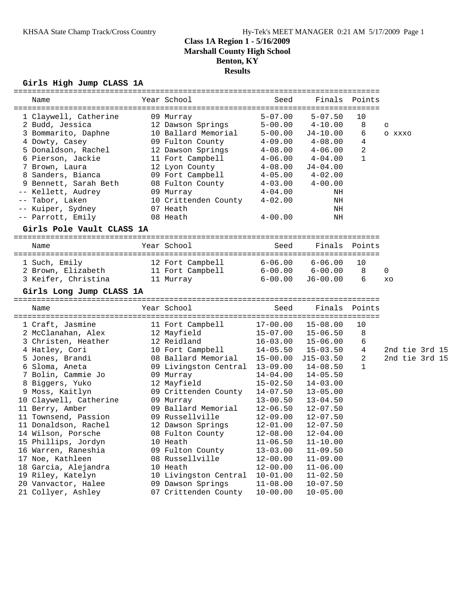### **Girls High Jump CLASS 1A**

|      | Name                                      | ============<br>Year School               | Seed                                | ================================<br>Finals | Points            |                   |
|------|-------------------------------------------|-------------------------------------------|-------------------------------------|--------------------------------------------|-------------------|-------------------|
|      |                                           |                                           |                                     |                                            |                   |                   |
|      | 1 Claywell, Catherine<br>2 Budd, Jessica  | 09 Murray<br>12 Dawson Springs            | $5 - 07.00$<br>$5 - 00.00$          | $5 - 07.50$<br>$4 - 10.00$                 | 10<br>8           |                   |
|      | 3 Bommarito, Daphne                       | 10 Ballard Memorial                       | $5 - 00.00$                         | $J4-10.00$                                 | 6                 | $\circ$<br>O XXXO |
|      | 4 Dowty, Casey                            | 09 Fulton County                          | $4 - 09.00$                         | $4 - 08.00$                                | 4                 |                   |
|      | 5 Donaldson, Rachel                       | 12 Dawson Springs                         | $4 - 08.00$                         | $4 - 06.00$                                | 2                 |                   |
|      | 6 Pierson, Jackie                         | 11 Fort Campbell                          | $4 - 06.00$                         | $4 - 04.00$                                | $\mathbf{1}$      |                   |
|      | 7 Brown, Laura                            | 12 Lyon County                            | $4 - 08.00$                         | $J4 - 04.00$                               |                   |                   |
|      | 8 Sanders, Bianca                         | 09 Fort Campbell                          | $4 - 05.00$                         | $4 - 02.00$                                |                   |                   |
| 9.   | Bennett, Sarah Beth                       | 08 Fulton County                          | $4 - 03.00$                         | $4 - 00.00$                                |                   |                   |
| $--$ | Kellett, Audrey                           | 09 Murray                                 | $4 - 04.00$                         | ΝH                                         |                   |                   |
|      | Tabor, Laken                              | 10 Crittenden County                      | $4 - 02.00$                         | ΝH                                         |                   |                   |
|      | -- Kuiper, Sydney                         | 07 Heath                                  |                                     | ΝH                                         |                   |                   |
|      | -- Parrott, Emily                         | 08 Heath                                  | $4 - 00.00$                         | NH                                         |                   |                   |
|      | Girls Pole Vault CLASS 1A                 |                                           |                                     |                                            |                   |                   |
|      |                                           |                                           |                                     |                                            |                   |                   |
|      | Name                                      | Year School<br>-------------              | Seed                                | Finals                                     | Points            |                   |
|      | 1 Such, Emily                             | 12 Fort Campbell                          | ====================<br>$6 - 06.00$ | $6 - 06.00$                                | ===========<br>10 |                   |
|      | 2 Brown, Elizabeth                        | 11 Fort Campbell                          | $6 - 00.00$                         | $6 - 00.00$                                | 8                 | 0                 |
|      | 3 Keifer, Christina                       | 11 Murray                                 | $6 - 00.00$                         | $J6 - 00.00$                               | 6                 | XO                |
|      | Girls Long Jump CLASS 1A                  |                                           |                                     |                                            |                   |                   |
|      |                                           |                                           |                                     |                                            |                   |                   |
|      |                                           |                                           |                                     |                                            |                   |                   |
|      | Name                                      | Year School                               | Seed                                | Finals                                     | Points            |                   |
|      | 1 Craft, Jasmine                          | 11 Fort Campbell                          | $17 - 00.00$                        | $15 - 08.00$                               | 10                |                   |
|      | 2 McClanahan, Alex                        | 12 Mayfield                               | $15 - 07.00$                        | $15 - 06.50$                               | 8                 |                   |
|      | 3 Christen, Heather                       | 12 Reidland                               | $16 - 03.00$                        | $15 - 06.00$                               | 6                 |                   |
|      | 4 Hatley, Cori                            | 10 Fort Campbell                          | $14 - 05.50$                        | $15 - 03.50$                               | 4                 | 2nd tie 3rd 15    |
|      | 5 Jones, Brandi                           | 08 Ballard Memorial                       | $15 - 00.00$                        | $J15 - 03.50$                              | 2                 | 2nd tie 3rd 15    |
|      | 6 Sloma, Aneta                            | 09 Livingston Central                     | $13 - 09.00$                        | $14 - 08.50$                               | $\mathbf{1}$      |                   |
|      | 7 Bolin, Cammie Jo                        | 09 Murray                                 | $14 - 04.00$                        | $14 - 05.50$                               |                   |                   |
|      | 8 Biggers, Yuko                           | 12 Mayfield                               | $15 - 02.50$                        | $14 - 03.00$                               |                   |                   |
|      | 9 Moss, Kaitlyn                           | 09 Crittenden County                      | $14 - 07.50$                        | $13 - 05.00$                               |                   |                   |
|      | 10 Claywell, Catherine                    | 09 Murray                                 | $13 - 00.50$                        | $13 - 04.50$                               |                   |                   |
|      | 11 Berry, Amber                           | 09 Ballard Memorial                       | $12 - 06.50$                        | $12 - 07.50$                               |                   |                   |
|      | 11 Townsend, Passion                      | 09 Russellville                           | $12 - 09.00$                        | $12 - 07.50$                               |                   |                   |
|      | 11 Donaldson, Rachel                      | 12 Dawson Springs                         | 12-01.00                            | $12 - 07.50$                               |                   |                   |
|      | 14 Wilson, Porsche                        | 08 Fulton County                          | $12 - 08.00$                        | $12 - 04.00$                               |                   |                   |
|      | 15 Phillips, Jordyn                       | 10 Heath                                  | $11 - 06.50$                        | $11 - 10.00$                               |                   |                   |
|      | 16 Warren, Raneshia                       | 09 Fulton County                          | $13 - 03.00$                        | $11 - 09.50$                               |                   |                   |
|      | 17 Noe, Kathleen                          | 08 Russellville                           | $12 - 00.00$                        | $11 - 09.00$                               |                   |                   |
|      | 18 Garcia, Alejandra                      | 10 Heath                                  | $12 - 00.00$                        | $11 - 06.00$                               |                   |                   |
|      | 19 Riley, Katelyn                         | 10 Livingston Central                     | $10 - 01.00$                        | $11 - 02.50$                               |                   |                   |
|      | 20 Vanvactor, Halee<br>21 Collyer, Ashley | 09 Dawson Springs<br>07 Crittenden County | $11 - 08.00$<br>$10 - 00.00$        | $10 - 07.50$<br>$10 - 05.00$               |                   |                   |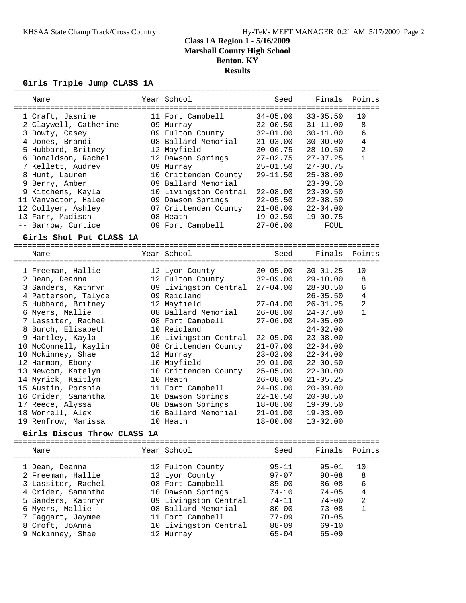### **Girls Triple Jump CLASS 1A**

| ==========<br>Name<br>-------------------------------------- |            | Year School                   | Seed                         | Finals                       | Points         |
|--------------------------------------------------------------|------------|-------------------------------|------------------------------|------------------------------|----------------|
| 1 Craft, Jasmine<br>2 Claywell, Catherine                    |            | 11 Fort Campbell<br>09 Murray | $34 - 05.00$<br>$32 - 00.50$ | $33 - 05.50$<br>$31 - 11.00$ | 10<br>8        |
| 3 Dowty, Casey                                               |            | 09 Fulton County              | $32 - 01.00$                 | $30 - 11.00$                 | 6              |
| 4 Jones, Brandi                                              |            | 08 Ballard Memorial           | $31 - 03.00$                 | $30 - 00.00$                 | 4              |
| 5 Hubbard, Britney                                           |            | 12 Mayfield                   | $30 - 06.75$                 | $28 - 10.50$                 | $\overline{a}$ |
| 6 Donaldson, Rachel                                          |            | 12 Dawson Springs             | $27 - 02.75$                 | $27 - 07.25$                 | $\mathbf{1}$   |
| 7 Kellett, Audrey                                            |            | 09 Murray                     | $25 - 01.50$                 | $27 - 00.75$                 |                |
| 8 Hunt, Lauren                                               |            | 10 Crittenden County          | $29 - 11.50$                 | $25 - 08.00$                 |                |
| 9 Berry, Amber                                               |            | 09 Ballard Memorial           |                              | $23 - 09.50$                 |                |
| 9 Kitchens, Kayla                                            |            | 10 Livingston Central         | $22 - 08.00$                 | $23 - 09.50$                 |                |
| 11 Vanvactor, Halee                                          |            | 09 Dawson Springs             | $22 - 05.50$                 | $22 - 08.50$                 |                |
| 12 Collyer, Ashley                                           |            | 07 Crittenden County          | $21 - 08.00$                 | $22 - 04.00$                 |                |
| 13 Farr, Madison                                             |            | 08 Heath                      | $19 - 02.50$                 | $19 - 00.75$                 |                |
| -- Barrow, Curtice                                           |            | 09 Fort Campbell              | $27 - 06.00$                 | FOUL                         |                |
| Girls Shot Put CLASS 1A                                      |            | --------------------------    |                              |                              |                |
| Name                                                         |            | Year School                   | Seed                         | Finals                       | Points         |
| ======================                                       | ========== | ------------                  | ===============              |                              |                |
| 1 Freeman, Hallie                                            |            | 12 Lyon County                | $30 - 05.00$                 | $30 - 01.25$                 | 10             |
| 2 Dean, Deanna                                               |            | 12 Fulton County              | $32 - 09.00$                 | $29 - 10.00$                 | 8              |
| 3 Sanders, Kathryn                                           |            | 09 Livingston Central         | $27 - 04.00$                 | $28 - 00.50$                 | 6              |
| 4 Patterson, Talyce                                          |            | 09 Reidland                   |                              | $26 - 05.50$                 | $\overline{4}$ |
| 5 Hubbard, Britney                                           |            | 12 Mayfield                   | $27 - 04.00$                 | $26 - 01.25$                 | $\overline{a}$ |
| 6 Myers, Mallie                                              |            | 08 Ballard Memorial           | $26 - 08.00$                 | $24 - 07.00$                 | $\mathbf{1}$   |
| 7 Lassiter, Rachel                                           |            | 08 Fort Campbell              | $27 - 06.00$                 | $24 - 05.00$                 |                |
| 8 Burch, Elisabeth                                           |            | 10 Reidland                   |                              | $24 - 02.00$                 |                |
| 9 Hartley, Kayla                                             |            | 10 Livingston Central         | $22 - 05.00$                 | $23 - 08.00$                 |                |
| 10 McConnell, Kaylin                                         |            | 08 Crittenden County          | $21 - 07.00$                 | $22 - 04.00$                 |                |
| 10 Mckinney, Shae                                            |            | 12 Murray                     | $23 - 02.00$                 | $22 - 04.00$                 |                |
| 12 Harmon, Ebony                                             |            | 10 Mayfield                   | $29 - 01.00$                 | $22 - 00.50$                 |                |
| 13 Newcom, Katelyn                                           |            | 10 Crittenden County          | $25 - 05.00$                 | $22 - 00.00$                 |                |
| 14 Myrick, Kaitlyn                                           |            | 10 Heath                      | $26 - 08.00$                 | $21 - 05.25$                 |                |
| 15 Austin, Porshia                                           |            | 11 Fort Campbell              | $24 - 09.00$                 | $20 - 09.00$                 |                |
| 16 Crider, Samantha                                          |            | 10 Dawson Springs             | $22 - 10.50$                 | $20 - 08.50$                 |                |
| 17 Reece, Alyssa                                             |            | 08 Dawson Springs             | $18 - 08.00$                 | $19 - 09.50$                 |                |
| 18 Worrell, Alex                                             |            | 10 Ballard Memorial           | $21 - 01.00$                 | $19 - 03.00$                 |                |
| 19 Renfrow, Marissa                                          |            | 10 Heath                      | $18 - 00.00$                 | $13 - 02.00$                 |                |
| Girls Discus Throw CLASS 1A                                  |            |                               |                              |                              |                |
| Name                                                         |            | Year School                   | Seed                         | Finals                       | Points         |
|                                                              |            |                               |                              |                              |                |
| 1 Dean, Deanna                                               |            | 12 Fulton County              | $95 - 11$                    | $95 - 01$                    | 10             |
| 2 Freeman, Hallie                                            |            | 12 Lyon County                | $97 - 07$                    | $90 - 08$                    | 8              |
| 3 Lassiter, Rachel                                           |            | 08 Fort Campbell              | $85 - 00$                    | $86 - 08$                    | 6              |
| 4 Crider, Samantha                                           |            | 10 Dawson Springs             | 74-10                        | $74 - 05$                    | 4              |
| 5 Sanders, Kathryn                                           |            | 09 Livingston Central         | 74-11                        | $74 - 00$                    | 2              |
| 6 Myers, Mallie                                              |            | 08 Ballard Memorial           | $80 - 00$                    | $73 - 08$                    | $\mathbf{1}$   |
| 7 Faggart, Jaymee                                            |            | 11 Fort Campbell              | $77 - 09$                    | $70 - 05$                    |                |
| 8 Croft, JoAnna                                              |            | 10 Livingston Central         | $88 - 09$                    | $69 - 10$                    |                |
|                                                              |            |                               | $65 - 04$                    | $65 - 09$                    |                |
| 9 Mckinney, Shae                                             |            | 12 Murray                     |                              |                              |                |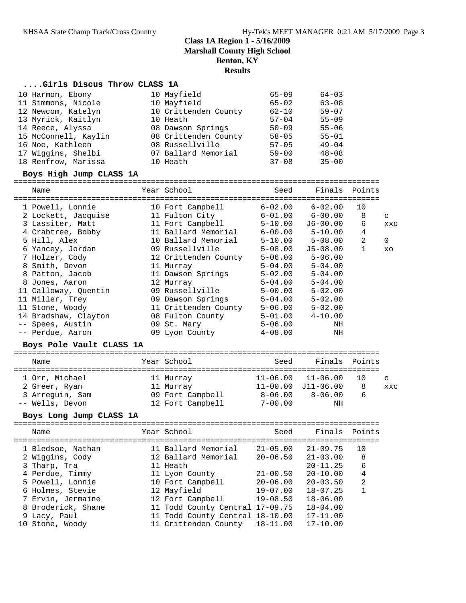### **....Girls Discus Throw CLASS 1A**

| 10 Harmon, Ebony     | 10 Mayfield          | $65 - 09$ | $64 - 03$ |
|----------------------|----------------------|-----------|-----------|
| 11 Simmons, Nicole   | 10 Mayfield          | $65 - 02$ | $63 - 08$ |
| 12 Newcom, Katelyn   | 10 Crittenden County | $62 - 10$ | $59 - 07$ |
| 13 Myrick, Kaitlyn   | 10 Heath             | $57 - 04$ | $55 - 09$ |
| 14 Reece, Alyssa     | 08 Dawson Springs    | $50 - 09$ | $55 - 06$ |
| 15 McConnell, Kaylin | 08 Crittenden County | $58 - 05$ | $55 - 01$ |
| 16 Noe, Kathleen     | 08 Russellville      | $57 - 05$ | $49 - 04$ |
| 17 Wiggins, Shelbi   | 07 Ballard Memorial  | $59 - 00$ | $48 - 08$ |
| 18 Renfrow, Marissa  | 10 Heath             | $37 - 08$ | $35 - 00$ |

### **Boys High Jump CLASS 1A**

================================================================================

| Name                                                                          | Year School                            | Seed        | Finals                  | Points         |            |
|-------------------------------------------------------------------------------|----------------------------------------|-------------|-------------------------|----------------|------------|
| 1 Powell, Lonnie               10 Fort Campbell           6-02.00     6-02.00 |                                        |             |                         | 10             |            |
| 2 Lockett, Jacquise 11 Fulton City 6-01.00 6-00.00                            |                                        |             |                         | 8              | $\circ$    |
| 3 Lassiter, Matt 11 Fort Campbell                                             |                                        |             | 5-10.00 J6-00.00        | 6              | XXO        |
| 4 Crabtree, Bobby 11 Ballard Memorial 6-00.00 5-10.00                         |                                        |             |                         | 4              |            |
| 5 Hill, Alex                                                                  | 10 Ballard Memorial                    |             | $5 - 10.00$ $5 - 08.00$ | $\overline{a}$ | $\Omega$   |
| 6 Yancey, Jordan                                                              | 09 Russellville                        | $5 - 08.00$ | J5-08.00                | $\mathbf{1}$   | XO         |
| 7 Holzer, Cody                                                                | 12 Crittenden County                   | 5-06.00     | $5 - 06.00$             |                |            |
| 8 Smith, Devon                                                                | 11 Murray                              | $5 - 04.00$ | $5 - 04.00$             |                |            |
| 8 Patton, Jacob 11 Dawson Springs                                             |                                        | $5 - 02.00$ | $5 - 04.00$             |                |            |
| 12 Murray<br>8 Jones, Aaron                                                   |                                        | 5-04.00     | $5 - 04.00$             |                |            |
| 11 Calloway, Quentin                                                          | 09 Russellville                        | $5 - 00.00$ | $5 - 02.00$             |                |            |
| 11 Miller, Trey                         09 Dawson Springs                     |                                        | $5 - 04.00$ | $5 - 02.00$             |                |            |
|                                                                               |                                        |             | $5 - 02.00$             |                |            |
| 14 Bradshaw, Clayton 08 Fulton County 5-01.00 4-10.00                         |                                        |             |                         |                |            |
| -- Spees, Austin                                                              | 09 St. Mary                            | $5 - 06.00$ | ΝH                      |                |            |
| -- Perdue, Aaron                                                              | 09 Lyon County 4-08.00                 |             | ΝH                      |                |            |
| Boys Pole Vault CLASS 1A                                                      | ====================================== |             |                         |                |            |
| Name                                                                          | <u>seed Seed Seed</u><br>Year School   |             | Finals Points           |                |            |
| 1 Orr, Michael                                                                | 11 Murray 11-06.00 11-06.00 10         |             |                         |                | $\circ$    |
| 2 Greer, Ryan                                                                 | 11 Murray 11-00.00 J11-06.00 8         |             |                         |                | <b>XXO</b> |

#### **Boys Long Jump CLASS 1A**

================================================================================

 3 Arreguin, Sam 09 Fort Campbell 8-06.00 8-06.00 6 -- Wells, Devon 12 Fort Campbell 7-00.00 NH

|  | Name               | Year School                     | Seed         | Finals       | Points         |
|--|--------------------|---------------------------------|--------------|--------------|----------------|
|  | 1 Bledsoe, Nathan  | 11 Ballard Memorial             | $21 - 05.00$ | $21 - 09.75$ | 10             |
|  | 2 Wiggins, Cody    | 12 Ballard Memorial             | $20 - 06.50$ | $21 - 03.00$ | 8              |
|  | 3 Tharp, Tra       | 11 Heath                        |              | $20 - 11.25$ | 6              |
|  | 4 Perdue, Timmy    | 11 Lyon County                  | $21 - 00.50$ | $20 - 10.00$ | 4              |
|  | 5 Powell, Lonnie   | 10 Fort Campbell                | $20 - 06.00$ | $20 - 03.50$ | $\overline{2}$ |
|  | 6 Holmes, Stevie   | 12 Mayfield                     | $19 - 07.00$ | $18 - 07.25$ | $\mathbf{1}$   |
|  | 7 Ervin, Jermaine  | 12 Fort Campbell                | $19 - 08.50$ | $18 - 06.00$ |                |
|  | 8 Broderick, Shane | 11 Todd County Central 17-09.75 |              | $18 - 04.00$ |                |
|  | 9 Lacy, Paul       | 11 Todd County Central 18-10.00 |              | $17 - 11.00$ |                |
|  | 10 Stone, Woody    | 11 Crittenden County 18-11.00   |              | $17 - 10.00$ |                |
|  |                    |                                 |              |              |                |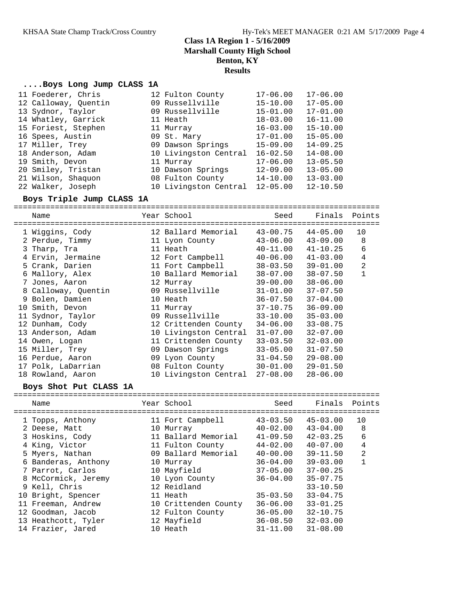### **....Boys Long Jump CLASS 1A**

| 11 Foederer, Chris   | 12 Fulton County      | $17 - 06.00$ | $17 - 06.00$ |
|----------------------|-----------------------|--------------|--------------|
| 12 Calloway, Quentin | 09 Russellville       | $15 - 10.00$ | $17 - 05.00$ |
| 13 Sydnor, Taylor    | 09 Russellville       | $15 - 01.00$ | $17 - 01.00$ |
| 14 Whatley, Garrick  | 11 Heath              | $18 - 03.00$ | $16 - 11.00$ |
| 15 Foriest, Stephen  | 11 Murray             | $16 - 03.00$ | $15 - 10.00$ |
| 16 Spees, Austin     | 09 St. Mary           | $17 - 01.00$ | $15 - 05.00$ |
| 17 Miller, Trey      | 09 Dawson Springs     | $15 - 09.00$ | $14 - 09.25$ |
| 18 Anderson, Adam    | 10 Livingston Central | $16 - 02.50$ | $14 - 08.00$ |
| 19 Smith, Devon      | 11 Murray             | $17 - 06.00$ | $13 - 05.50$ |
| 20 Smiley, Tristan   | 10 Dawson Springs     | $12 - 09.00$ | $13 - 05.00$ |
| 21 Wilson, Shaquon   | 08 Fulton County      | $14 - 10.00$ | $13 - 03.00$ |
| 22 Walker, Joseph    | 10 Livingston Central | $12 - 05.00$ | $12 - 10.50$ |

#### **Boys Triple Jump CLASS 1A**

================================================================================

| Name<br>================= | Year School           | Seed<br>====================== | Finals Points<br>=== |                |
|---------------------------|-----------------------|--------------------------------|----------------------|----------------|
| 1 Wiggins, Cody           | 12 Ballard Memorial   | 43-00.75                       | $44 - 05.00$         | 10             |
| 2 Perdue, Timmy           | 11 Lyon County        | $43 - 06.00$                   | $43 - 09.00$         | 8              |
| 3 Tharp, Tra              | 11 Heath              | $40 - 11.00$                   | $41 - 10.25$         | 6              |
| 4 Ervin, Jermaine         | 12 Fort Campbell      | $40 - 06.00$                   | $41 - 03.00$         | 4              |
| 5 Crank, Darien           | 11 Fort Campbell      | $38 - 03.50$                   | $39 - 01.00$         | $\overline{2}$ |
| 6 Mallory, Alex           | 10 Ballard Memorial   | $38 - 07.00$                   | $38 - 07.50$         | $\mathbf{1}$   |
| 7 Jones, Aaron            | 12 Murray             | $39 - 00.00$                   | $38 - 06.00$         |                |
| 8 Calloway, Quentin       | 09 Russellville       | 31-01.00                       | $37 - 07.50$         |                |
| 9 Bolen, Damien           | 10 Heath              | $36 - 07.50$                   | $37 - 04.00$         |                |
| 10 Smith, Devon           | 11 Murray             | 37-10.75                       | $36 - 09.00$         |                |
| 11 Sydnor, Taylor         | 09 Russellville       | 33-10.00                       | $35 - 03.00$         |                |
| 12 Dunham, Cody           | 12 Crittenden County  | $34 - 06.00$                   | $33 - 08.75$         |                |
| 13 Anderson, Adam         | 10 Livingston Central | $31 - 07.00$                   | $32 - 07.00$         |                |
| 14 Owen, Logan            | 11 Crittenden County  | $33 - 03.50$                   | $32 - 03.00$         |                |
| 15 Miller, Trey           | 09 Dawson Springs     | $33 - 05.00$                   | $31 - 07.50$         |                |
| 16 Perdue, Aaron          | 09 Lyon County        | $31 - 04.50$                   | $29 - 08.00$         |                |
| 17 Polk, LaDarrian        | 08 Fulton County      | $30 - 01.00$                   | $29 - 01.50$         |                |
| 18 Rowland, Aaron         | 10 Livingston Central | 27-08.00                       | $28 - 06.00$         |                |

#### **Boys Shot Put CLASS 1A**

================================================================================ Name Year School Seed Finals Points ================================================================================ 1 Topps, Anthony 11 Fort Campbell 43-03.50 45-03.00 10 2 Deese, Matt 10 Murray 40-02.00 43-04.00 8 3 Hoskins, Cody 11 Ballard Memorial 41-09.50 42-03.25 6 4 King, Victor 11 Fulton County 44-02.00 40-07.00 4 5 Myers, Nathan 09 Ballard Memorial 40-00.00 39-11.50 2 6 Banderas, Anthony 10 Murray 36-04.00 39-03.00 1 7 Parrot, Carlos 10 Mayfield 37-05.00 37-00.25 8 McCormick, Jeremy 10 Lyon County 36-04.00 35-07.75 9 Kell, Chris 12 Reidland 33-10.50 10 Bright, Spencer 11 Heath 35-03.50 33-04.75 11 Freeman, Andrew 10 Crittenden County 36-06.00 33-01.25 12 Goodman, Jacob 12 Fulton County 36-05.00 32-10.75 13 Heathcott, Tyler 12 Mayfield 36-08.50 32-03.00 14 Frazier, Jared 10 Heath 31-11.00 31-08.00